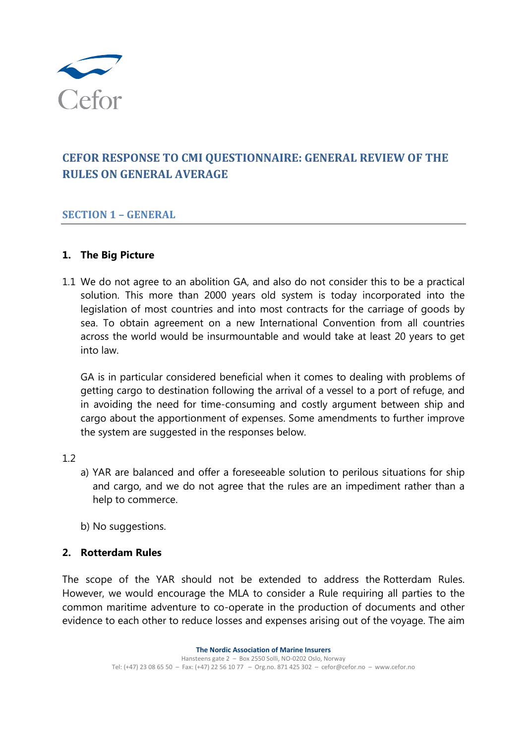

# **CEFOR RESPONSE TO CMI QUESTIONNAIRE: GENERAL REVIEW OF THE RULES ON GENERAL AVERAGE**

#### **SECTION 1 - GENERAL**

#### **1. The Big Picture**

1.1 We do not agree to an abolition GA, and also do not consider this to be a practical solution. This more than 2000 years old system is today incorporated into the legislation of most countries and into most contracts for the carriage of goods by sea. To obtain agreement on a new International Convention from all countries across the world would be insurmountable and would take at least 20 years to get into law.

GA is in particular considered beneficial when it comes to dealing with problems of getting cargo to destination following the arrival of a vessel to a port of refuge, and in avoiding the need for time-consuming and costly argument between ship and cargo about the apportionment of expenses. Some amendments to further improve the system are suggested in the responses below.

#### 1.2

- a) YAR are balanced and offer a foreseeable solution to perilous situations for ship and cargo, and we do not agree that the rules are an impediment rather than a help to commerce.
- b) No suggestions.

#### **2. Rotterdam Rules**

The scope of the YAR should not be extended to address the Rotterdam Rules. However, we would encourage the MLA to consider a Rule requiring all parties to the common maritime adventure to co-operate in the production of documents and other evidence to each other to reduce losses and expenses arising out of the voyage. The aim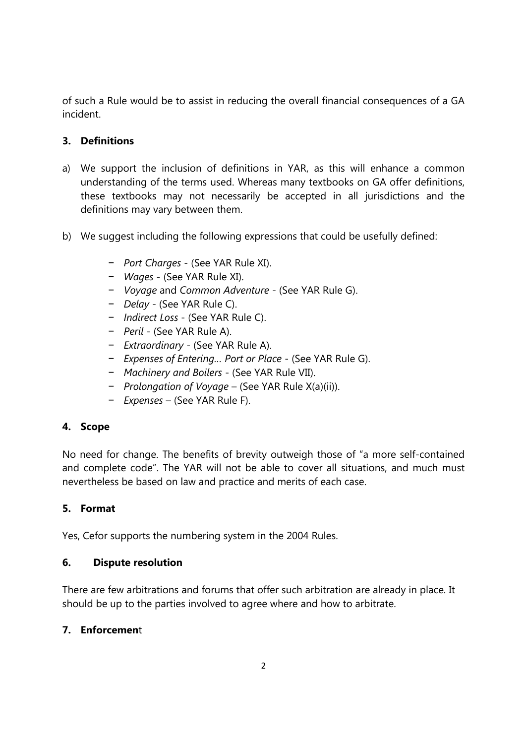of such a Rule would be to assist in reducing the overall financial consequences of a GA incident.

# **3. Definitions**

- a) We support the inclusion of definitions in YAR, as this will enhance a common understanding of the terms used. Whereas many textbooks on GA offer definitions, these textbooks may not necessarily be accepted in all jurisdictions and the definitions may vary between them.
- b) We suggest including the following expressions that could be usefully defined:
	- − *Port Charges* (See YAR Rule XI).
	- − *Wages* (See YAR Rule XI).
	- − *Voyage* and *Common Adventure* (See YAR Rule G).
	- − *Delay* (See YAR Rule C).
	- − *Indirect Loss* (See YAR Rule C).
	- − *Peril* (See YAR Rule A).
	- − *Extraordinary* (See YAR Rule A).
	- − *Expenses of Entering… Port or Place* (See YAR Rule G).
	- − *Machinery and Boilers* (See YAR Rule VII).
	- − *Prolongation of Voyage* (See YAR Rule X(a)(ii)).
	- − *Expenses* (See YAR Rule F).

# **4. Scope**

No need for change. The benefits of brevity outweigh those of "a more self-contained and complete code". The YAR will not be able to cover all situations, and much must nevertheless be based on law and practice and merits of each case.

## **5. Format**

Yes, Cefor supports the numbering system in the 2004 Rules.

## **6. Dispute resolution**

There are few arbitrations and forums that offer such arbitration are already in place. It should be up to the parties involved to agree where and how to arbitrate.

## **7. Enforcemen**t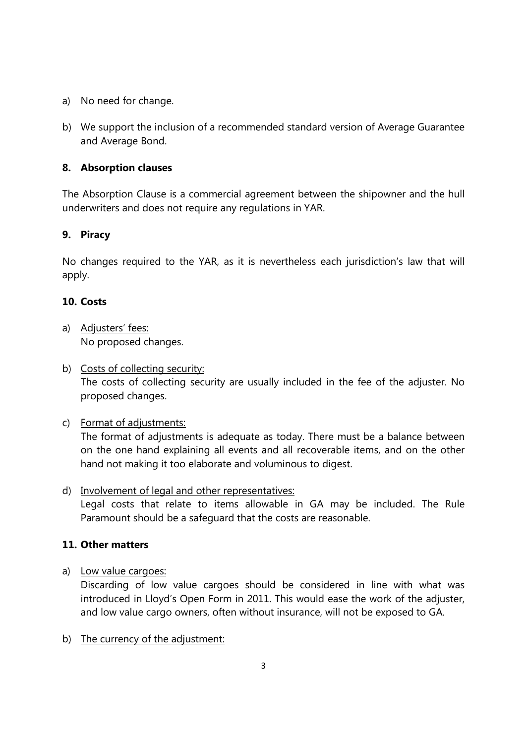- a) No need for change.
- b) We support the inclusion of a recommended standard version of Average Guarantee and Average Bond.

#### **8. Absorption clauses**

The Absorption Clause is a commercial agreement between the shipowner and the hull underwriters and does not require any regulations in YAR.

#### **9. Piracy**

No changes required to the YAR, as it is nevertheless each jurisdiction's law that will apply.

#### **10. Costs**

- a) Adjusters' fees: No proposed changes.
- b) Costs of collecting security: The costs of collecting security are usually included in the fee of the adjuster. No proposed changes.
- c) Format of adjustments:

The format of adjustments is adequate as today. There must be a balance between on the one hand explaining all events and all recoverable items, and on the other hand not making it too elaborate and voluminous to digest.

d) Involvement of legal and other representatives: Legal costs that relate to items allowable in GA may be included. The Rule Paramount should be a safeguard that the costs are reasonable.

## **11. Other matters**

a) Low value cargoes:

Discarding of low value cargoes should be considered in line with what was introduced in Lloyd's Open Form in 2011. This would ease the work of the adjuster, and low value cargo owners, often without insurance, will not be exposed to GA.

b) The currency of the adjustment: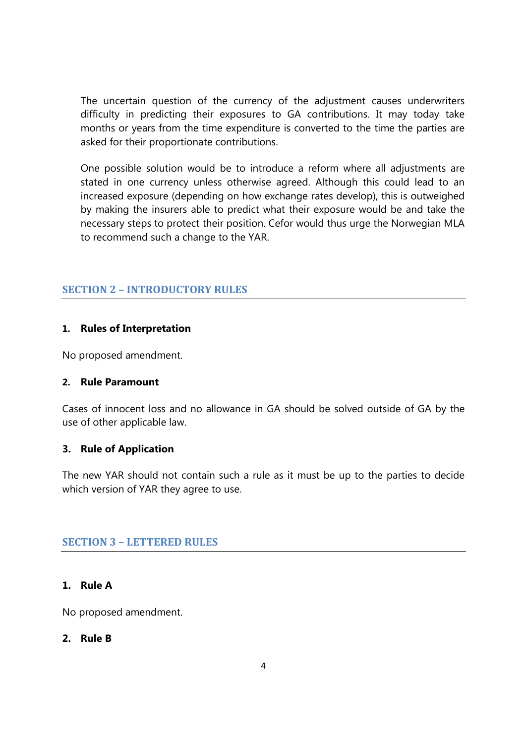The uncertain question of the currency of the adjustment causes underwriters difficulty in predicting their exposures to GA contributions. It may today take months or years from the time expenditure is converted to the time the parties are asked for their proportionate contributions.

One possible solution would be to introduce a reform where all adjustments are stated in one currency unless otherwise agreed. Although this could lead to an increased exposure (depending on how exchange rates develop), this is outweighed by making the insurers able to predict what their exposure would be and take the necessary steps to protect their position. Cefor would thus urge the Norwegian MLA to recommend such a change to the YAR.

#### **SECTION 2 – INTRODUCTORY RULES**

#### **1. Rules of Interpretation**

No proposed amendment.

#### **2. Rule Paramount**

Cases of innocent loss and no allowance in GA should be solved outside of GA by the use of other applicable law.

#### **3. Rule of Application**

The new YAR should not contain such a rule as it must be up to the parties to decide which version of YAR they agree to use.

#### **SECTION 3 - LETTERED RULES**

#### **1. Rule A**

No proposed amendment.

#### **2. Rule B**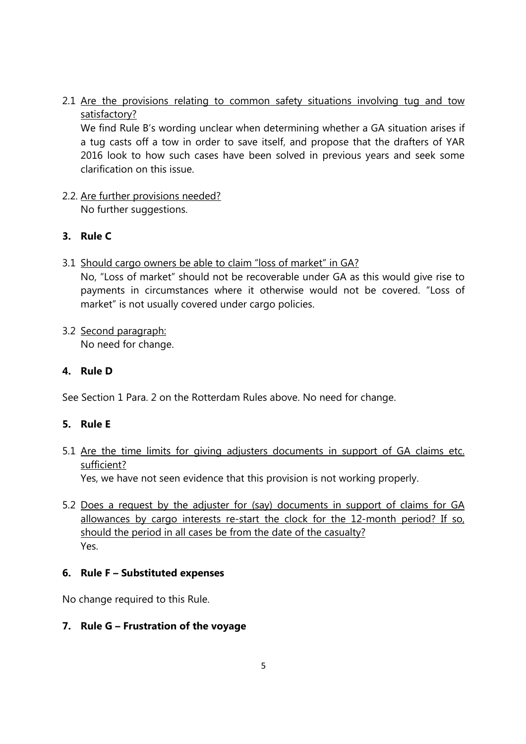2.1 Are the provisions relating to common safety situations involving tug and tow satisfactory?

We find Rule B's wording unclear when determining whether a GA situation arises if a tug casts off a tow in order to save itself, and propose that the drafters of YAR 2016 look to how such cases have been solved in previous years and seek some clarification on this issue.

2.2. Are further provisions needed? No further suggestions.

## **3. Rule C**

3.1 Should cargo owners be able to claim "loss of market" in GA?

No, "Loss of market" should not be recoverable under GA as this would give rise to payments in circumstances where it otherwise would not be covered. "Loss of market" is not usually covered under cargo policies.

3.2 Second paragraph: No need for change.

#### **4. Rule D**

See Section 1 Para. 2 on the Rotterdam Rules above. No need for change.

## **5. Rule E**

5.1 Are the time limits for giving adjusters documents in support of GA claims etc. sufficient?

Yes, we have not seen evidence that this provision is not working properly.

5.2 Does a request by the adjuster for (say) documents in support of claims for GA allowances by cargo interests re-start the clock for the 12-month period? If so, should the period in all cases be from the date of the casualty? Yes.

## **6. Rule F – Substituted expenses**

No change required to this Rule.

## **7. Rule G – Frustration of the voyage**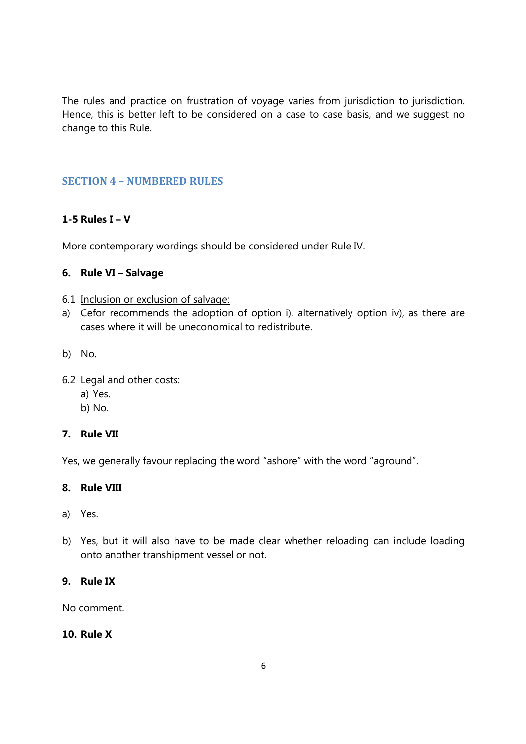The rules and practice on frustration of voyage varies from jurisdiction to jurisdiction. Hence, this is better left to be considered on a case to case basis, and we suggest no change to this Rule.

# **SECTION 4 – NUMBERED RULES**

## **1-5 Rules I – V**

More contemporary wordings should be considered under Rule IV.

## **6. Rule VI – Salvage**

- 6.1 Inclusion or exclusion of salvage:
- a) Cefor recommends the adoption of option i), alternatively option iv), as there are cases where it will be uneconomical to redistribute.
- b) No.
- 6.2 Legal and other costs:
	- a) Yes.
	- b) No.

#### **7. Rule VII**

Yes, we generally favour replacing the word "ashore" with the word "aground".

#### **8. Rule VIII**

- a) Yes.
- b) Yes, but it will also have to be made clear whether reloading can include loading onto another transhipment vessel or not.

#### **9. Rule IX**

No comment.

#### **10. Rule X**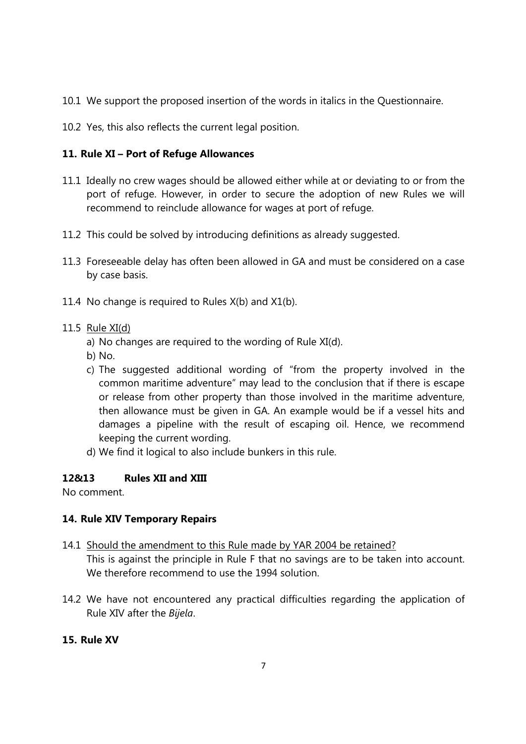- 10.1 We support the proposed insertion of the words in italics in the Questionnaire.
- 10.2 Yes, this also reflects the current legal position.

# **11. Rule XI – Port of Refuge Allowances**

- 11.1 Ideally no crew wages should be allowed either while at or deviating to or from the port of refuge. However, in order to secure the adoption of new Rules we will recommend to reinclude allowance for wages at port of refuge.
- 11.2 This could be solved by introducing definitions as already suggested.
- 11.3 Foreseeable delay has often been allowed in GA and must be considered on a case by case basis.
- 11.4 No change is required to Rules X(b) and X1(b).

#### 11.5 Rule XI(d)

- a) No changes are required to the wording of Rule XI(d).
- b) No.
- c) The suggested additional wording of "from the property involved in the common maritime adventure" may lead to the conclusion that if there is escape or release from other property than those involved in the maritime adventure, then allowance must be given in GA. An example would be if a vessel hits and damages a pipeline with the result of escaping oil. Hence, we recommend keeping the current wording.
- d) We find it logical to also include bunkers in this rule.

## **12&13 Rules XII and XIII**

No comment.

## **14. Rule XIV Temporary Repairs**

- 14.1 Should the amendment to this Rule made by YAR 2004 be retained? This is against the principle in Rule F that no savings are to be taken into account. We therefore recommend to use the 1994 solution
- 14.2 We have not encountered any practical difficulties regarding the application of Rule XIV after the *Bijela*.

#### **15. Rule XV**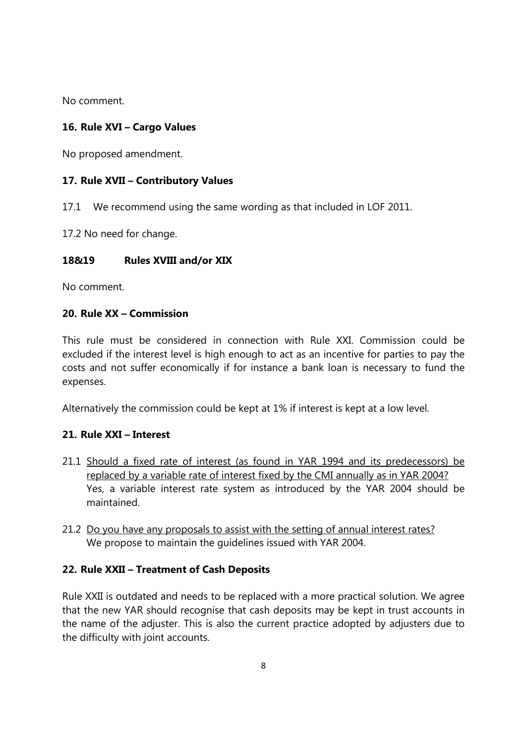No comment.

# **16. Rule XVI – Cargo Values**

No proposed amendment.

#### **17. Rule XVII – Contributory Values**

17.1 We recommend using the same wording as that included in LOF 2011.

17.2 No need for change.

#### **18&19 Rules XVIII and/or XIX**

No comment.

#### **20. Rule XX – Commission**

This rule must be considered in connection with Rule XXI. Commission could be excluded if the interest level is high enough to act as an incentive for parties to pay the costs and not suffer economically if for instance a bank loan is necessary to fund the expenses.

Alternatively the commission could be kept at 1% if interest is kept at a low level.

## **21. Rule XXI – Interest**

- 21.1 Should a fixed rate of interest (as found in YAR 1994 and its predecessors) be replaced by a variable rate of interest fixed by the CMI annually as in YAR 2004? Yes, a variable interest rate system as introduced by the YAR 2004 should be maintained.
- 21.2 Do you have any proposals to assist with the setting of annual interest rates? We propose to maintain the guidelines issued with YAR 2004.

## **22. Rule XXII – Treatment of Cash Deposits**

Rule XXII is outdated and needs to be replaced with a more practical solution. We agree that the new YAR should recognise that cash deposits may be kept in trust accounts in the name of the adjuster. This is also the current practice adopted by adjusters due to the difficulty with joint accounts.